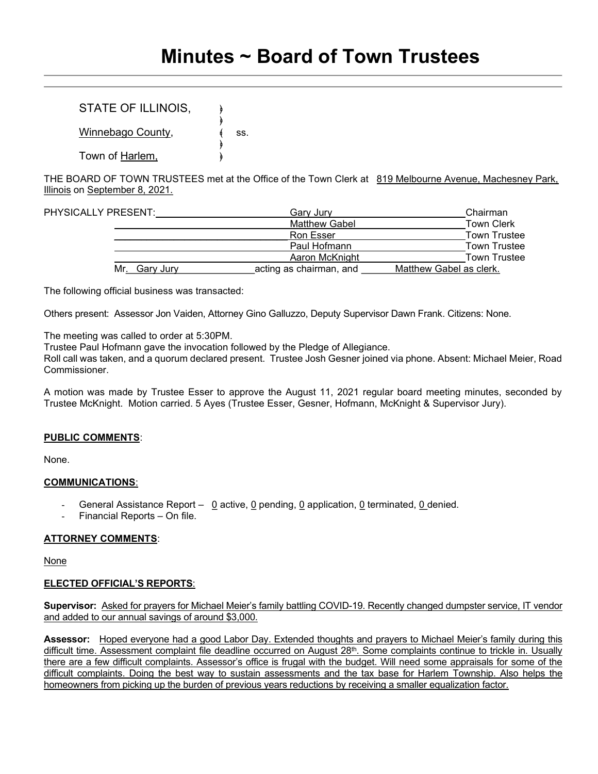# STATE OF ILLINOIS,

 $\rightarrow$ Winnebago County,  $\qquad \qquad \{$  ss.  $\rightarrow$ Town of Harlem,

THE BOARD OF TOWN TRUSTEES met at the Office of the Town Clerk at 819 Melbourne Avenue, Machesney Park, Illinois on September 8, 2021.

| PHYSICALLY PRESENT: |               | Gary Jury               | Chairman                |
|---------------------|---------------|-------------------------|-------------------------|
|                     |               | <b>Matthew Gabel</b>    | <b>Town Clerk</b>       |
|                     |               | <b>Ron Esser</b>        | <b>Town Trustee</b>     |
|                     |               | Paul Hofmann            | <b>Town Trustee</b>     |
|                     |               | Aaron McKnight          | <b>Town Trustee</b>     |
|                     | Mr. Gary Jury | acting as chairman, and | Matthew Gabel as clerk. |

The following official business was transacted:

Others present: Assessor Jon Vaiden, Attorney Gino Galluzzo, Deputy Supervisor Dawn Frank. Citizens: None.

The meeting was called to order at 5:30PM.

Trustee Paul Hofmann gave the invocation followed by the Pledge of Allegiance.

Roll call was taken, and a quorum declared present. Trustee Josh Gesner joined via phone. Absent: Michael Meier, Road **Commissioner** 

A motion was made by Trustee Esser to approve the August 11, 2021 regular board meeting minutes, seconded by Trustee McKnight. Motion carried. 5 Ayes (Trustee Esser, Gesner, Hofmann, McKnight & Supervisor Jury).

# PUBLIC COMMENTS:

None.

#### COMMUNICATIONS:

- General Assistance Report  $\Omega$  active,  $\Omega$  pending,  $\Omega$  application,  $\Omega$  terminated,  $\Omega$  denied.
- Financial Reports On file.

# ATTORNEY COMMENTS:

None

# ELECTED OFFICIAL'S REPORTS:

Supervisor: Asked for prayers for Michael Meier's family battling COVID-19. Recently changed dumpster service, IT vendor and added to our annual savings of around \$3,000.

Assessor: Hoped everyone had a good Labor Day. Extended thoughts and prayers to Michael Meier's family during this difficult time. Assessment complaint file deadline occurred on August 28<sup>th</sup>. Some complaints continue to trickle in. Usually there are a few difficult complaints. Assessor's office is frugal with the budget. Will need some appraisals for some of the difficult complaints. Doing the best way to sustain assessments and the tax base for Harlem Township. Also helps the homeowners from picking up the burden of previous years reductions by receiving a smaller equalization factor.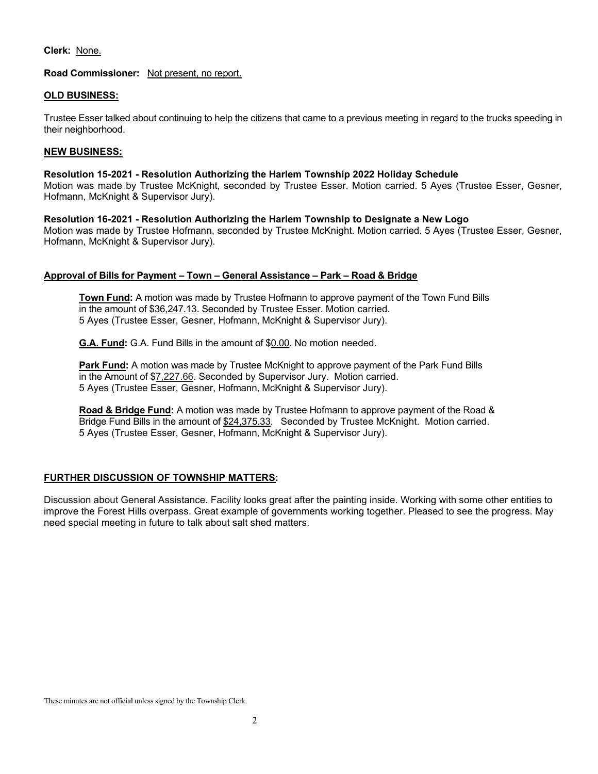### Clerk: None.

### Road Commissioner: Not present, no report.

#### OLD BUSINESS:

Trustee Esser talked about continuing to help the citizens that came to a previous meeting in regard to the trucks speeding in their neighborhood.

### NEW BUSINESS:

#### Resolution 15-2021 - Resolution Authorizing the Harlem Township 2022 Holiday Schedule

Motion was made by Trustee McKnight, seconded by Trustee Esser. Motion carried. 5 Ayes (Trustee Esser, Gesner, Hofmann, McKnight & Supervisor Jury).

Resolution 16-2021 - Resolution Authorizing the Harlem Township to Designate a New Logo Motion was made by Trustee Hofmann, seconded by Trustee McKnight. Motion carried. 5 Ayes (Trustee Esser, Gesner, Hofmann, McKnight & Supervisor Jury).

### Approval of Bills for Payment – Town – General Assistance – Park – Road & Bridge

Town Fund: A motion was made by Trustee Hofmann to approve payment of the Town Fund Bills in the amount of \$36,247.13. Seconded by Trustee Esser. Motion carried. 5 Ayes (Trustee Esser, Gesner, Hofmann, McKnight & Supervisor Jury).

G.A. Fund: G.A. Fund Bills in the amount of \$0.00. No motion needed.

Park Fund: A motion was made by Trustee McKnight to approve payment of the Park Fund Bills in the Amount of \$7,227.66. Seconded by Supervisor Jury. Motion carried. 5 Ayes (Trustee Esser, Gesner, Hofmann, McKnight & Supervisor Jury).

Road & Bridge Fund: A motion was made by Trustee Hofmann to approve payment of the Road & Bridge Fund Bills in the amount of \$24,375.33. Seconded by Trustee McKnight. Motion carried. 5 Ayes (Trustee Esser, Gesner, Hofmann, McKnight & Supervisor Jury).

# FURTHER DISCUSSION OF TOWNSHIP MATTERS:

Discussion about General Assistance. Facility looks great after the painting inside. Working with some other entities to improve the Forest Hills overpass. Great example of governments working together. Pleased to see the progress. May need special meeting in future to talk about salt shed matters.